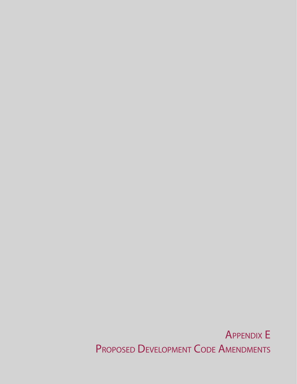Appendix E PROPOSED DEVELOPMENT CODE AMENDMENTS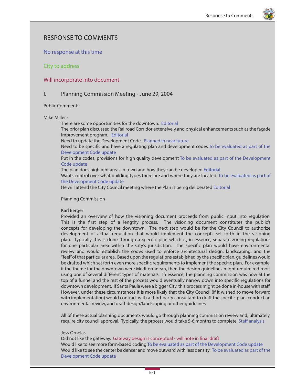

# RESPONSE TO COMMENTS

# No response at this time

City to address

# Will incorporate into document

# I. Planning Commission Meeting - June 29, 2004

Public Comment:

# Mike Miller -

There are some opportunities for the downtown. Editorial

The prior plan discussed the Railroad Corridor extensively and physical enhancements such as the façade improvement program. Editorial

Need to update the Development Code. Planned in near future

Need to be specific and have a regulating plan and development codes To be evaluated as part of the Development Code update

Put in the codes, provisions for high quality development To be evaluated as part of the Development Code update

The plan does highlight areas in town and how they can be developed Editorial

Wants control over what building types there are and where they are located To be evaluated as part of the Development Code update

He will attend the City Council meeting where the Plan is being deliberated Editorial

# Planning Commission

# Karl Berger

Provided an overview of how the visioning document proceeds from public input into regulation. This is the first step of a lengthy process. The visioning document constitutes the public's concepts for developing the downtown. The next step would be for the City Council to authorize development of actual regulation that would implement the concepts set forth in the visioning plan. Typically this is done through a specific plan which is, in essence, separate zoning regulations for one particular area within the City's jurisdiction. The specific plan would have environmental review and would establish the codes used to enforce architectural design, landscaping, and the "feel" of that particular area. Based upon the regulations established by the specific plan, guidelines would be drafted which set forth even more specific requirements to implement the specific plan. For example, if the theme for the downtown were Mediterranean, then the design guidelines might require red roofs using one of several different types of materials. In essence, the planning commission was now at the top of a funnel and the rest of the process would eventually narrow down into specific regulations for downtown development. If Santa Paula were a bigger City, this process might be done in-house with staff. However, under these circumstances it is more likely that the City Council (if it wished to move forward with implementation) would contract with a third-party consultant to draft the specific plan, conduct an environmental review, and draft design/landscaping or other guidelines.

All of these actual planning documents would go through planning commission review and, ultimately, require city council approval. Typically, the process would take 5-6 months to complete. Staff analysis

# Jess Ornelas

Did not like the gateway. Gateway design is conceptual - will note in final draft Would like to see more form-based coding To be evaluated as part of the Development Code update Would like to see the center be denser and move outward with less density. To be evaluated as part of the Development Code update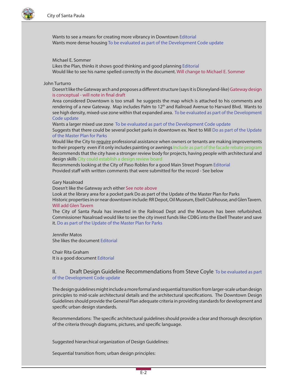

Wants to see a means for creating more vibrancy in Downtown Editorial Wants more dense housing To be evaluated as part of the Development Code update

### Michael E. Sommer

Likes the Plan, thinks it shows good thinking and good planning Editorial Would like to see his name spelled correctly in the document. Will change to Michael E. Sommer

# John Turturro

Doesn't like the Gateway arch and proposes a different structure (says it is Disneyland-like) Gateway design is conceptual - will note in final draft

Area considered Downtown is too small he suggests the map which is attached to his comments and rendering of a new Gateway. Map includes Palm to 12<sup>th</sup> and Railroad Avenue to Harvard Blvd. Wants to see high density, mixed-use zone within that expanded area. To be evaluated as part of the Development Code update

Wants a larger mixed use zone To be evaluated as part of the Development Code update Suggests that there could be several pocket parks in downtown ex. Next to Mill Do as part of the Update of the Master Plan for Parks

Would like the City to require professional assistance when owners or tenants are making improvements to their property even if it only includes painting or awnings Include as part of the facade rebate program Recommends that the city have a stronger review body for projects, having people with architectural and design skills City could establish a design review board

Recommends looking at the City of Paso Robles for a good Main Street Program Editorial Provided staff with written comments that were submitted for the record - See below

#### Gary Nasalroad

Doesn't like the Gateway arch either See note above

Look at the library area for a pocket park Do as part of the Update of the Master Plan for Parks Historic properties in or near downtown include: RR Depot, Oil Museum, Ebell Clubhouse, and Glen Tavern. Will add Glen Tavern

The City of Santa Paula has invested in the Railroad Dept and the Museum has been refurbished. Commissioner Nasalroad would like to see the city invest funds like CDBG into the Ebell Theater and save it. Do as part of the Update of the Master Plan for Parks

Jennifer Matos She likes the document Editorial

Chair Rita Graham It is a good document Editorial

II. Draft Design Guideline Recommendations from Steve Coyle To be evaluated as part of the Development Code update

The design guidelines might include a more formal and sequential transition from larger-scale urban design principles to mid-scale architectural details and the architectural specifications. The Downtown Design Guidelines should provide the General Plan adequate criteria in providing standards for development and specific urban design standards.

Recommendations: The specific architectural guidelines should provide a clear and thorough description of the criteria through diagrams, pictures, and specific language.

Suggested hierarchical organization of Design Guidelines:

Sequential transition from; urban design principles: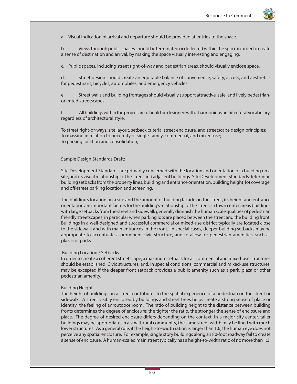

a. Visual indication of arrival and departure should be provided at entries to the space.

b. Views through public spaces should be terminated or deflected within the space in order to create a sense of destination and arrival, by making the space visually interesting and engaging.

c. Public spaces, including street right-of-way and pedestrian areas, should visually enclose space.

d. Street design should create an equitable balance of convenience, safety, access, and aesthetics for pedestrians, bicycles, automobiles, and emergency vehicles.

e. Street walls and building frontages should visually support attractive, safe, and lively pedestrianoriented streetscapes.

f. All buildings within the project area should be designed with a harmonious architectural vocabulary, regardless of architectural style.

To street right-or-ways, site layout, setback criteria, street enclosure, and streetscape design principles; To massing in relation to proximity of single-family, commercial, and mixed-use; To parking location and consolidation;

# Sample Design Standards Draft:

Site Development Standards are primarily concerned with the location and orientation of a building on a site, and its visual relationship to the street and adjacent buildings. Site Development Standards determine building setbacks from the property lines, building and entrance orientation, building height, lot coverage, and off-street parking location and screening.

The building's location on a site and the amount of building façade on the street, its height and entrance orientation are important factors for the building's relationship to the street. In town center areas buildings with large setbacks from the street and sidewalk generally diminish the human scale qualities of pedestrian friendly streetscapes, in particular when parking lots are placed between the street and the building front. Buildings in a well-designed and successful commercial or mixed-use district typically are located close to the sidewalk and with main entrances in the front. In special cases, deeper building setbacks may be appropriate to accentuate a prominent civic structure, and to allow for pedestrian amenities, such as plazas or parks.

# Building Location / Setbacks

In order to create a coherent streetscape, a maximum setback for all commercial and mixed-use structures should be established. Civic structures, and, in special conditions, commercial and mixed-use structures, may be excepted if the deeper front setback provides a public amenity such as a park, plaza or other pedestrian amenity.

# Building Height

The height of buildings on a street contributes to the spatial experience of a pedestrian on the street or sidewalk. A street visibly enclosed by buildings and street trees helps create a strong sense of place or identity the feeling of an 'outdoor room'. The ratio of building height to the distance between building fronts determines the degree of enclosure: the tighter the ratio, the stronger the sense of enclosure and place. The degree of desired enclosure differs depending on the context. In a major city center, taller buildings may be appropriate; in a small, rural community, the same street width may be lined with much lower structures. As a general rule, if the height-to-width ration is larger than 1:6, the human eye does not perceive any spatial enclosure. For example, single story buildings along an 80-foot roadway fail to create a sense of enclosure. A human-scaled main street typically has a height-to-width ratio of no more than 1:3.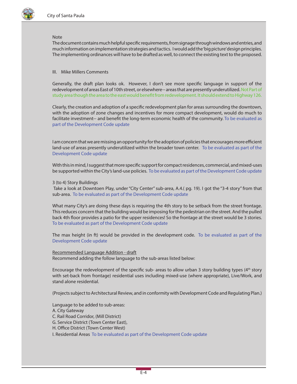

# Note

The document contains much helpful specific requirements, from signage through windows and entries, and much information on implementation strategies and tactics. I would add the 'big picture' design principles. The implementing ordinances will have to be drafted as well, to connect the existing text to the proposed.

# III. Mike Millers Comments

Generally, the draft plan looks ok. However, I don't see more specific language in support of the redevelopment of areas East of 10th street, or elsewhere-- areas that are presently underutilized. Not Part of study area though the area to the east would benefit from redevelopment. It should extend to Highway 126.

Clearly, the creation and adoption of a specific redevelopment plan for areas surrounding the downtown, with the adoption of zone changes and incentives for more compact development, would do much to facilitate investment-- and benefit the long-term economic health of the community. To be evaluated as part of the Development Code update

I am concern that we are missing an opportunity for the adoption of policies that encourages more efficient land-use of areas presently underutilized within the broader town center. To be evaluated as part of the Development Code update

With this in mind, I suggest that more specific support for compact residences, commercial, and mixed-uses be supported within the City's land-use policies. To be evaluated as part of the Development Code update

# 3 (to 4) Story Buildings

 Take a look at Downtoen Play, under "City Center" sub-area, A.4.( pg. 19). I got the "3-4 story" from that sub-area. To be evaluated as part of the Development Code update

What many City's are doing these days is requiring the 4th story to be setback from the street frontage. This reduces concern that the building would be imposing for the pedestrian on the street. And the pulled back 4th floor provides a patio for the upper residences! So the frontage at the street would be 3 stories. To be evaluated as part of the Development Code update

The max height (in ft) would be provided in the development code. To be evaluated as part of the Development Code update

# Recommended Language Addition - draft

Recommend adding the follow language to the sub-areas listed below:

Encourage the redevelopment of the specific sub- areas to allow urban 3 story building types ( $4<sup>th</sup>$  story with set-back from frontage) residential uses including mixed-use (where appropriate), Live/Work, and stand alone residential.

(Projects subject to Architectural Review, and in conformity with Development Code and Regulating Plan.)

Language to be added to sub-areas: A. City Gateway C. Rail Road Corridor, (Mill District) G. Service District (Town Center East), H. Office District (Town Center West) I. Residential Areas To be evaluated as part of the Development Code update